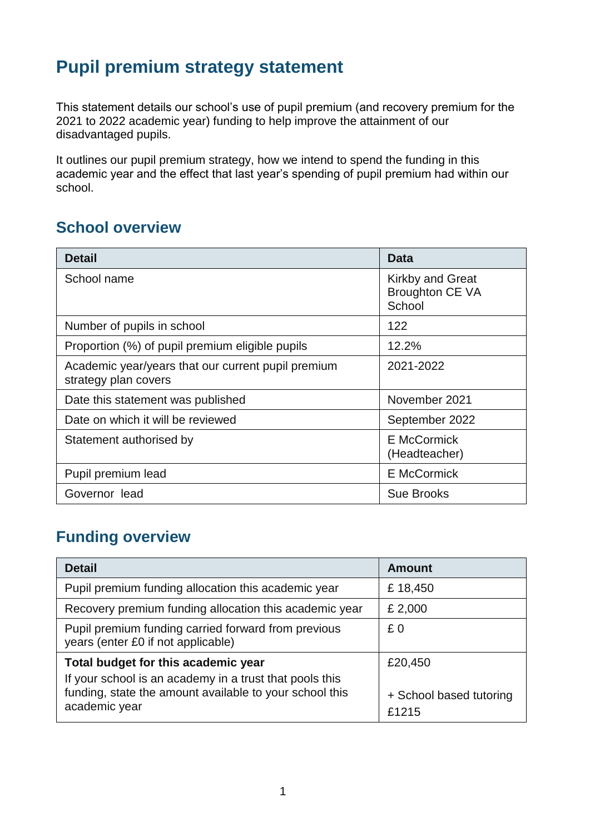## **Pupil premium strategy statement**

This statement details our school's use of pupil premium (and recovery premium for the 2021 to 2022 academic year) funding to help improve the attainment of our disadvantaged pupils.

It outlines our pupil premium strategy, how we intend to spend the funding in this academic year and the effect that last year's spending of pupil premium had within our school.

#### **School overview**

| <b>Detail</b>                                                              | <b>Data</b>                                                 |
|----------------------------------------------------------------------------|-------------------------------------------------------------|
| School name                                                                | <b>Kirkby and Great</b><br><b>Broughton CE VA</b><br>School |
| Number of pupils in school                                                 | 122                                                         |
| Proportion (%) of pupil premium eligible pupils                            | 12.2%                                                       |
| Academic year/years that our current pupil premium<br>strategy plan covers | 2021-2022                                                   |
| Date this statement was published                                          | November 2021                                               |
| Date on which it will be reviewed                                          | September 2022                                              |
| Statement authorised by                                                    | <b>E</b> McCormick<br>(Headteacher)                         |
| Pupil premium lead                                                         | <b>E</b> McCormick                                          |
| Governor lead                                                              | <b>Sue Brooks</b>                                           |

### **Funding overview**

| <b>Detail</b>                                                                                                                       | Amount                           |
|-------------------------------------------------------------------------------------------------------------------------------------|----------------------------------|
| Pupil premium funding allocation this academic year                                                                                 | £18,450                          |
| Recovery premium funding allocation this academic year                                                                              | £ 2,000                          |
| Pupil premium funding carried forward from previous<br>years (enter £0 if not applicable)                                           | £0                               |
| Total budget for this academic year                                                                                                 | £20,450                          |
| If your school is an academy in a trust that pools this<br>funding, state the amount available to your school this<br>academic year | + School based tutoring<br>£1215 |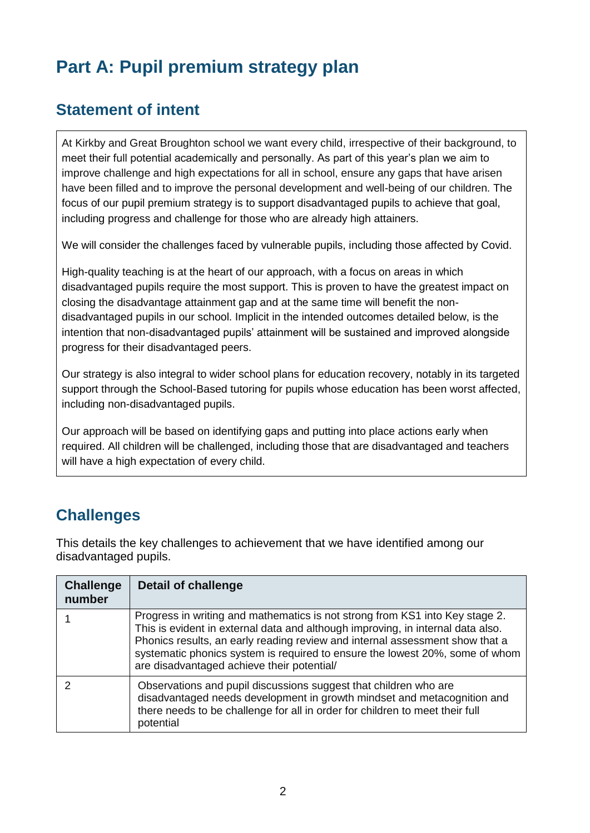# **Part A: Pupil premium strategy plan**

### **Statement of intent**

At Kirkby and Great Broughton school we want every child, irrespective of their background, to meet their full potential academically and personally. As part of this year's plan we aim to improve challenge and high expectations for all in school, ensure any gaps that have arisen have been filled and to improve the personal development and well-being of our children. The focus of our pupil premium strategy is to support disadvantaged pupils to achieve that goal, including progress and challenge for those who are already high attainers.

We will consider the challenges faced by vulnerable pupils, including those affected by Covid.

High-quality teaching is at the heart of our approach, with a focus on areas in which disadvantaged pupils require the most support. This is proven to have the greatest impact on closing the disadvantage attainment gap and at the same time will benefit the nondisadvantaged pupils in our school. Implicit in the intended outcomes detailed below, is the intention that non-disadvantaged pupils' attainment will be sustained and improved alongside progress for their disadvantaged peers.

Our strategy is also integral to wider school plans for education recovery, notably in its targeted support through the School-Based tutoring for pupils whose education has been worst affected, including non-disadvantaged pupils.

Our approach will be based on identifying gaps and putting into place actions early when required. All children will be challenged, including those that are disadvantaged and teachers will have a high expectation of every child.

### **Challenges**

This details the key challenges to achievement that we have identified among our disadvantaged pupils.

| <b>Challenge</b><br>number | <b>Detail of challenge</b>                                                                                                                                                                                                                                                                                                                                                    |
|----------------------------|-------------------------------------------------------------------------------------------------------------------------------------------------------------------------------------------------------------------------------------------------------------------------------------------------------------------------------------------------------------------------------|
|                            | Progress in writing and mathematics is not strong from KS1 into Key stage 2.<br>This is evident in external data and although improving, in internal data also.<br>Phonics results, an early reading review and internal assessment show that a<br>systematic phonics system is required to ensure the lowest 20%, some of whom<br>are disadvantaged achieve their potential/ |
|                            | Observations and pupil discussions suggest that children who are<br>disadvantaged needs development in growth mindset and metacognition and<br>there needs to be challenge for all in order for children to meet their full<br>potential                                                                                                                                      |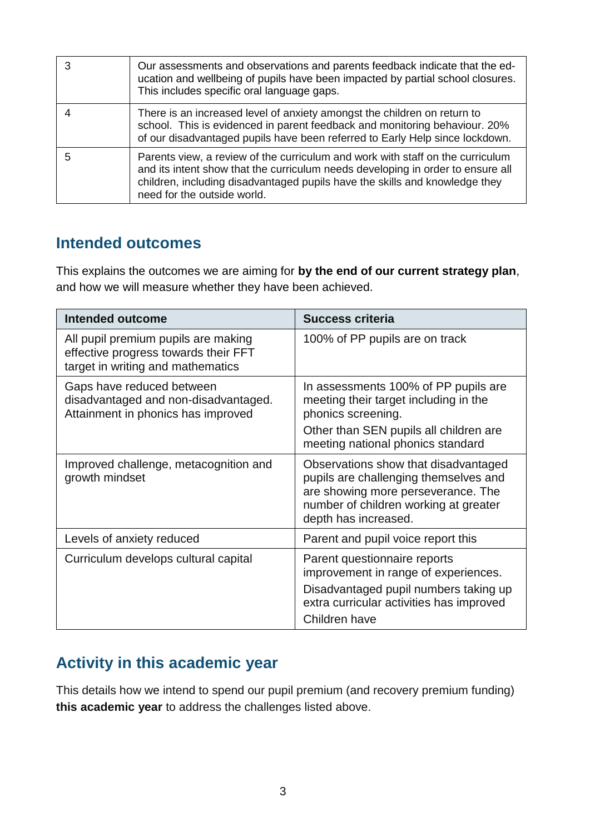| 3 | Our assessments and observations and parents feedback indicate that the ed-<br>ucation and wellbeing of pupils have been impacted by partial school closures.<br>This includes specific oral language gaps.                                                                     |
|---|---------------------------------------------------------------------------------------------------------------------------------------------------------------------------------------------------------------------------------------------------------------------------------|
|   | There is an increased level of anxiety amongst the children on return to<br>school. This is evidenced in parent feedback and monitoring behaviour. 20%<br>of our disadvantaged pupils have been referred to Early Help since lockdown.                                          |
| 5 | Parents view, a review of the curriculum and work with staff on the curriculum<br>and its intent show that the curriculum needs developing in order to ensure all<br>children, including disadvantaged pupils have the skills and knowledge they<br>need for the outside world. |

#### **Intended outcomes**

This explains the outcomes we are aiming for **by the end of our current strategy plan**, and how we will measure whether they have been achieved.

| Intended outcome                                                                                                 | <b>Success criteria</b>                                                                                                                                                              |
|------------------------------------------------------------------------------------------------------------------|--------------------------------------------------------------------------------------------------------------------------------------------------------------------------------------|
| All pupil premium pupils are making<br>effective progress towards their FFT<br>target in writing and mathematics | 100% of PP pupils are on track                                                                                                                                                       |
| Gaps have reduced between<br>disadvantaged and non-disadvantaged.<br>Attainment in phonics has improved          | In assessments 100% of PP pupils are<br>meeting their target including in the<br>phonics screening.<br>Other than SEN pupils all children are<br>meeting national phonics standard   |
| Improved challenge, metacognition and<br>growth mindset                                                          | Observations show that disadvantaged<br>pupils are challenging themselves and<br>are showing more perseverance. The<br>number of children working at greater<br>depth has increased. |
| Levels of anxiety reduced                                                                                        | Parent and pupil voice report this                                                                                                                                                   |
| Curriculum develops cultural capital                                                                             | Parent questionnaire reports<br>improvement in range of experiences.<br>Disadvantaged pupil numbers taking up<br>extra curricular activities has improved<br>Children have           |

### **Activity in this academic year**

This details how we intend to spend our pupil premium (and recovery premium funding) **this academic year** to address the challenges listed above.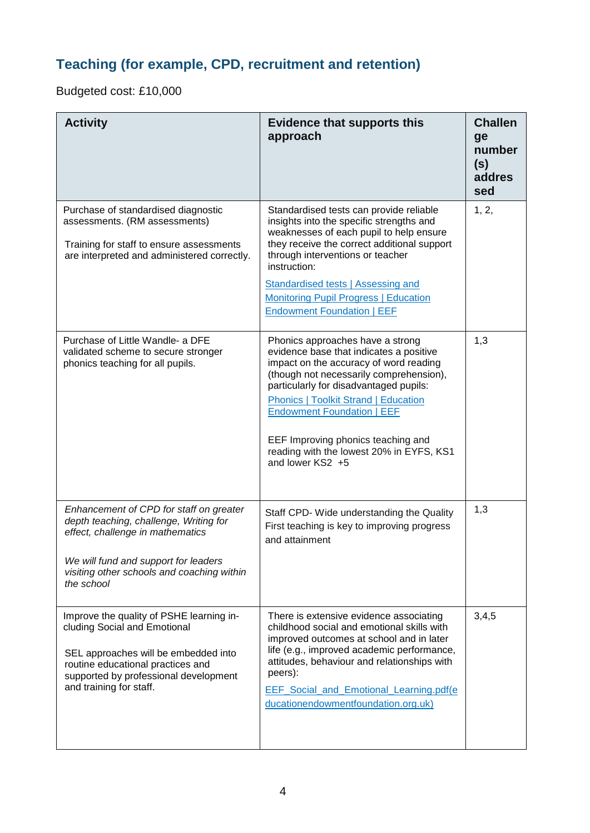### **Teaching (for example, CPD, recruitment and retention)**

Budgeted cost: £10,000

| <b>Activity</b>                                                                                                                                                                                                           | <b>Evidence that supports this</b><br>approach                                                                                                                                                                                                                                                                                                                                                       | <b>Challen</b><br>ge<br>number<br>(s)<br>addres<br>sed |
|---------------------------------------------------------------------------------------------------------------------------------------------------------------------------------------------------------------------------|------------------------------------------------------------------------------------------------------------------------------------------------------------------------------------------------------------------------------------------------------------------------------------------------------------------------------------------------------------------------------------------------------|--------------------------------------------------------|
| Purchase of standardised diagnostic<br>assessments. (RM assessments)<br>Training for staff to ensure assessments<br>are interpreted and administered correctly.                                                           | Standardised tests can provide reliable<br>insights into the specific strengths and<br>weaknesses of each pupil to help ensure<br>they receive the correct additional support<br>through interventions or teacher<br>instruction:<br><b>Standardised tests   Assessing and</b><br><b>Monitoring Pupil Progress   Education</b><br><b>Endowment Foundation   EEF</b>                                  | 1, 2,                                                  |
| Purchase of Little Wandle- a DFE<br>validated scheme to secure stronger<br>phonics teaching for all pupils.                                                                                                               | Phonics approaches have a strong<br>evidence base that indicates a positive<br>impact on the accuracy of word reading<br>(though not necessarily comprehension),<br>particularly for disadvantaged pupils:<br><b>Phonics   Toolkit Strand   Education</b><br><b>Endowment Foundation   EEF</b><br>EEF Improving phonics teaching and<br>reading with the lowest 20% in EYFS, KS1<br>and lower KS2 +5 | 1,3                                                    |
| Enhancement of CPD for staff on greater<br>depth teaching, challenge, Writing for<br>effect, challenge in mathematics<br>We will fund and support for leaders<br>visiting other schools and coaching within<br>the school | Staff CPD- Wide understanding the Quality<br>First teaching is key to improving progress<br>and attainment                                                                                                                                                                                                                                                                                           | 1,3                                                    |
| Improve the quality of PSHE learning in-<br>cluding Social and Emotional<br>SEL approaches will be embedded into<br>routine educational practices and<br>supported by professional development<br>and training for staff. | There is extensive evidence associating<br>childhood social and emotional skills with<br>improved outcomes at school and in later<br>life (e.g., improved academic performance,<br>attitudes, behaviour and relationships with<br>peers):<br>EEF_Social_and_Emotional_Learning.pdf(e)<br>ducationendowmentfoundation.org.uk)                                                                         | 3,4,5                                                  |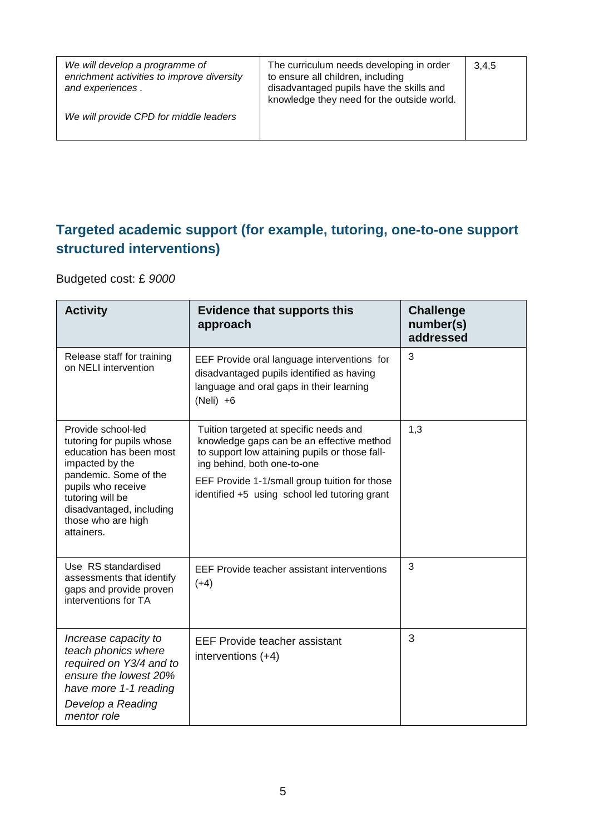| We will develop a programme of<br>enrichment activities to improve diversity<br>and experiences. | The curriculum needs developing in order<br>to ensure all children, including<br>disadvantaged pupils have the skills and<br>knowledge they need for the outside world. | 3,4,5 |
|--------------------------------------------------------------------------------------------------|-------------------------------------------------------------------------------------------------------------------------------------------------------------------------|-------|
| We will provide CPD for middle leaders                                                           |                                                                                                                                                                         |       |

#### **Targeted academic support (for example, tutoring, one-to-one support structured interventions)**

Budgeted cost: £ *9000*

| <b>Activity</b>                                                                                                                                                                                                                  | <b>Evidence that supports this</b><br>approach                                                                                                                                                                                                                         | <b>Challenge</b><br>number(s)<br>addressed |
|----------------------------------------------------------------------------------------------------------------------------------------------------------------------------------------------------------------------------------|------------------------------------------------------------------------------------------------------------------------------------------------------------------------------------------------------------------------------------------------------------------------|--------------------------------------------|
| Release staff for training<br>on NELI intervention                                                                                                                                                                               | EEF Provide oral language interventions for<br>disadvantaged pupils identified as having<br>language and oral gaps in their learning<br>$(Neli) +6$                                                                                                                    | 3                                          |
| Provide school-led<br>tutoring for pupils whose<br>education has been most<br>impacted by the<br>pandemic. Some of the<br>pupils who receive<br>tutoring will be<br>disadvantaged, including<br>those who are high<br>attainers. | Tuition targeted at specific needs and<br>knowledge gaps can be an effective method<br>to support low attaining pupils or those fall-<br>ing behind, both one-to-one<br>EEF Provide 1-1/small group tuition for those<br>identified +5 using school led tutoring grant | 1,3                                        |
| Use RS standardised<br>assessments that identify<br>gaps and provide proven<br>interventions for TA                                                                                                                              | EEF Provide teacher assistant interventions<br>$(+4)$                                                                                                                                                                                                                  | 3                                          |
| Increase capacity to<br>teach phonics where<br>required on Y3/4 and to<br>ensure the lowest 20%<br>have more 1-1 reading<br>Develop a Reading<br>mentor role                                                                     | <b>EEF Provide teacher assistant</b><br>interventions (+4)                                                                                                                                                                                                             | 3                                          |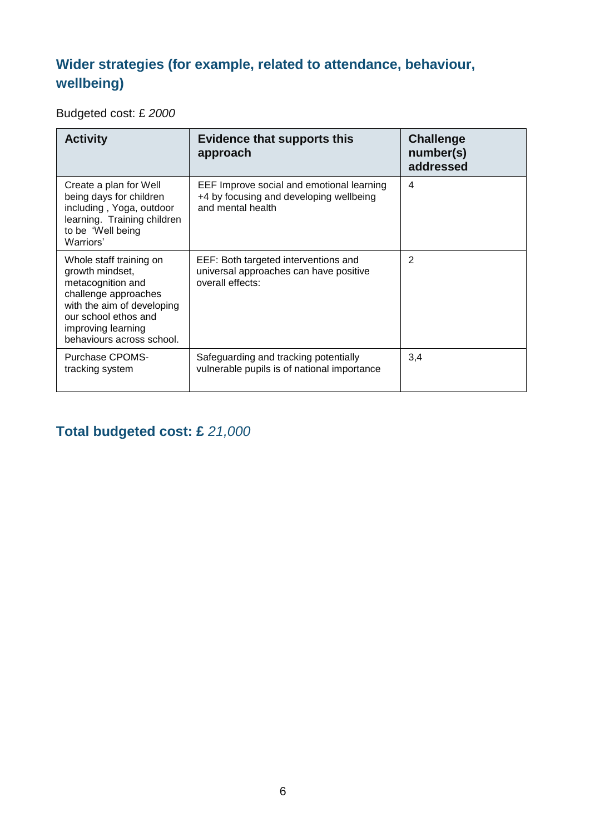### **Wider strategies (for example, related to attendance, behaviour, wellbeing)**

Budgeted cost: £ *2000*

| <b>Activity</b>                                                                                                                                                                                  | <b>Evidence that supports this</b><br>approach                                                            | <b>Challenge</b><br>number(s)<br>addressed |
|--------------------------------------------------------------------------------------------------------------------------------------------------------------------------------------------------|-----------------------------------------------------------------------------------------------------------|--------------------------------------------|
| Create a plan for Well<br>being days for children<br>including, Yoga, outdoor<br>learning. Training children<br>to be 'Well being<br>Warriors'                                                   | EEF Improve social and emotional learning<br>+4 by focusing and developing wellbeing<br>and mental health | 4                                          |
| Whole staff training on<br>growth mindset,<br>metacognition and<br>challenge approaches<br>with the aim of developing<br>our school ethos and<br>improving learning<br>behaviours across school. | EEF: Both targeted interventions and<br>universal approaches can have positive<br>overall effects:        | $\overline{2}$                             |
| <b>Purchase CPOMS-</b><br>tracking system                                                                                                                                                        | Safeguarding and tracking potentially<br>vulnerable pupils is of national importance                      | 3,4                                        |

### **Total budgeted cost: £** *21,000*